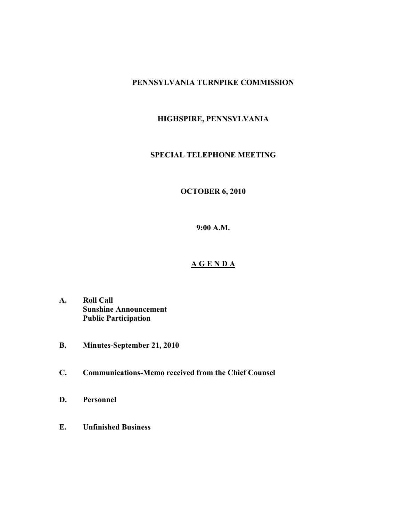#### **PENNSYLVANIA TURNPIKE COMMISSION**

## **HIGHSPIRE, PENNSYLVANIA**

### **SPECIAL TELEPHONE MEETING**

# **OCTOBER 6, 2010**

**9:00 A.M.**

## **A G E N D A**

- **A. Roll Call Sunshine Announcement Public Participation**
- **B. Minutes-September 21, 2010**
- **C. Communications-Memo received from the Chief Counsel**
- **D. Personnel**
- **E. Unfinished Business**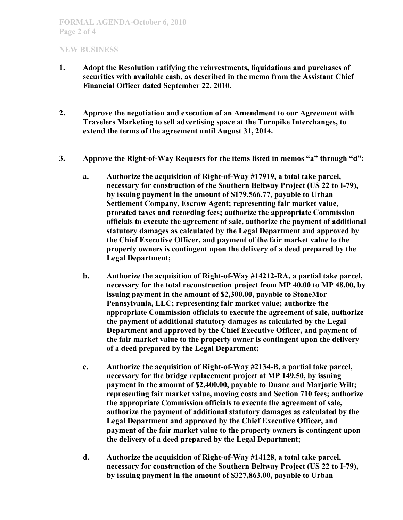### **NEW BUSINESS**

- **1. Adopt the Resolution ratifying the reinvestments, liquidations and purchases of securities with available cash, as described in the memo from the Assistant Chief Financial Officer dated September 22, 2010.**
- **2. Approve the negotiation and execution of an Amendment to our Agreement with Travelers Marketing to sell advertising space at the Turnpike Interchanges, to extend the terms of the agreement until August 31, 2014.**
- **3. Approve the Right-of-Way Requests for the items listed in memos "a" through "d":**
	- **a. Authorize the acquisition of Right-of-Way #17919, a total take parcel, necessary for construction of the Southern Beltway Project (US 22 to I-79), by issuing payment in the amount of \$179,566.77, payable to Urban Settlement Company, Escrow Agent; representing fair market value, prorated taxes and recording fees; authorize the appropriate Commission officials to execute the agreement of sale, authorize the payment of additional statutory damages as calculated by the Legal Department and approved by the Chief Executive Officer, and payment of the fair market value to the property owners is contingent upon the delivery of a deed prepared by the Legal Department;**
	- **b. Authorize the acquisition of Right-of-Way #14212-RA, a partial take parcel, necessary for the total reconstruction project from MP 40.00 to MP 48.00, by issuing payment in the amount of \$2,300.00, payable to StoneMor Pennsylvania, LLC; representing fair market value; authorize the appropriate Commission officials to execute the agreement of sale, authorize the payment of additional statutory damages as calculated by the Legal Department and approved by the Chief Executive Officer, and payment of the fair market value to the property owner is contingent upon the delivery of a deed prepared by the Legal Department;**
	- **c. Authorize the acquisition of Right-of-Way #2134-B, a partial take parcel, necessary for the bridge replacement project at MP 149.50, by issuing payment in the amount of \$2,400.00, payable to Duane and Marjorie Wilt; representing fair market value, moving costs and Section 710 fees; authorize the appropriate Commission officials to execute the agreement of sale, authorize the payment of additional statutory damages as calculated by the Legal Department and approved by the Chief Executive Officer, and payment of the fair market value to the property owners is contingent upon the delivery of a deed prepared by the Legal Department;**
	- **d. Authorize the acquisition of Right-of-Way #14128, a total take parcel, necessary for construction of the Southern Beltway Project (US 22 to I-79), by issuing payment in the amount of \$327,863.00, payable to Urban**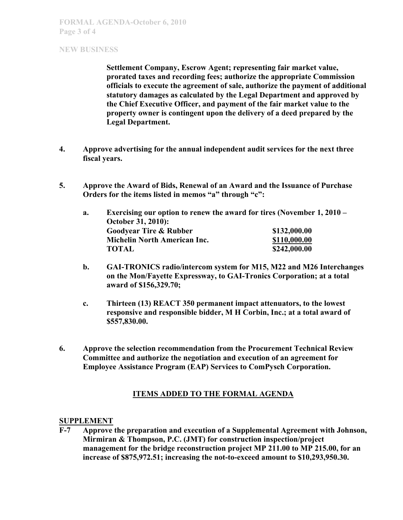### **NEW BUSINESS**

**Settlement Company, Escrow Agent; representing fair market value, prorated taxes and recording fees; authorize the appropriate Commission officials to execute the agreement of sale, authorize the payment of additional statutory damages as calculated by the Legal Department and approved by the Chief Executive Officer, and payment of the fair market value to the property owner is contingent upon the delivery of a deed prepared by the Legal Department.**

- **4. Approve advertising for the annual independent audit services for the next three fiscal years.**
- **5. Approve the Award of Bids, Renewal of an Award and the Issuance of Purchase Orders for the items listed in memos "a" through "c":**

| October 31, 2010):                  |                                                                        |
|-------------------------------------|------------------------------------------------------------------------|
| <b>Goodyear Tire &amp; Rubber</b>   | \$132,000.00                                                           |
| <b>Michelin North American Inc.</b> | \$110,000.00                                                           |
| <b>TOTAL</b>                        | \$242,000.00                                                           |
|                                     | Exercising our option to renew the award for tires (November 1, 2010 – |

- **b. GAI-TRONICS radio/intercom system for M15, M22 and M26 Interchanges on the Mon/Fayette Expressway, to GAI-Tronics Corporation; at a total award of \$156,329.70;**
- **c. Thirteen (13) REACT 350 permanent impact attenuators, to the lowest responsive and responsible bidder, M H Corbin, Inc.; at a total award of \$557,830.00.**
- **6. Approve the selection recommendation from the Procurement Technical Review Committee and authorize the negotiation and execution of an agreement for Employee Assistance Program (EAP) Services to ComPysch Corporation.**

# **ITEMS ADDED TO THE FORMAL AGENDA**

#### **SUPPLEMENT**

**F-7 Approve the preparation and execution of a Supplemental Agreement with Johnson, Mirmiran & Thompson, P.C. (JMT) for construction inspection/project management for the bridge reconstruction project MP 211.00 to MP 215.00, for an increase of \$875,972.51; increasing the not-to-exceed amount to \$10,293,950.30.**